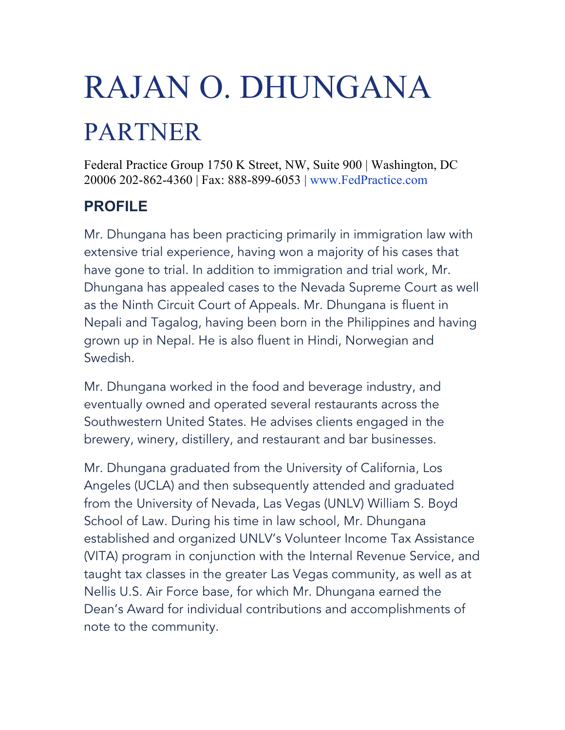# RAJAN O. DHUNGANA

# PARTNER

Federal Practice Group 1750 K Street, NW, Suite 900 | Washington, DC 20006 202-862-4360 | Fax: 888-899-6053 | www.FedPractice.com

## **PROFILE**

Mr. Dhungana has been practicing primarily in immigration law with extensive trial experience, having won a majority of his cases that have gone to trial. In addition to immigration and trial work, Mr. Dhungana has appealed cases to the Nevada Supreme Court as well as the Ninth Circuit Court of Appeals. Mr. Dhungana is fluent in Nepali and Tagalog, having been born in the Philippines and having grown up in Nepal. He is also fluent in Hindi, Norwegian and Swedish.

Mr. Dhungana worked in the food and beverage industry, and eventually owned and operated several restaurants across the Southwestern United States. He advises clients engaged in the brewery, winery, distillery, and restaurant and bar businesses.

Mr. Dhungana graduated from the University of California, Los Angeles (UCLA) and then subsequently attended and graduated from the University of Nevada, Las Vegas (UNLV) William S. Boyd School of Law. During his time in law school, Mr. Dhungana established and organized UNLV's Volunteer Income Tax Assistance (VITA) program in conjunction with the Internal Revenue Service, and taught tax classes in the greater Las Vegas community, as well as at Nellis U.S. Air Force base, for which Mr. Dhungana earned the Dean's Award for individual contributions and accomplishments of note to the community.